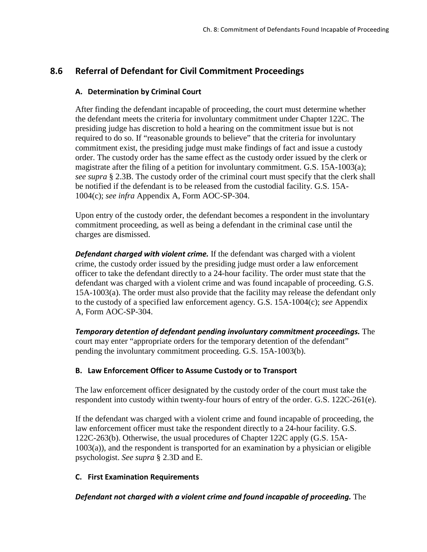# **8.6 Referral of Defendant for Civil Commitment Proceedings**

## **A. Determination by Criminal Court**

After finding the defendant incapable of proceeding, the court must determine whether the defendant meets the criteria for involuntary commitment under Chapter 122C. The presiding judge has discretion to hold a hearing on the commitment issue but is not required to do so. If "reasonable grounds to believe" that the criteria for involuntary commitment exist, the presiding judge must make findings of fact and issue a custody order. The custody order has the same effect as the custody order issued by the clerk or magistrate after the filing of a petition for involuntary commitment. G.S. 15A-1003(a); *see supra* § 2.3B. The custody order of the criminal court must specify that the clerk shall be notified if the defendant is to be released from the custodial facility. G.S. 15A-1004(c); *see infra* Appendix A, Form AOC-SP-304.

Upon entry of the custody order, the defendant becomes a respondent in the involuntary commitment proceeding, as well as being a defendant in the criminal case until the charges are dismissed.

*Defendant charged with violent crime.* If the defendant was charged with a violent crime, the custody order issued by the presiding judge must order a law enforcement officer to take the defendant directly to a 24-hour facility. The order must state that the defendant was charged with a violent crime and was found incapable of proceeding. G.S. 15A-1003(a). The order must also provide that the facility may release the defendant only to the custody of a specified law enforcement agency. G.S. 15A-1004(c); *see* Appendix A, Form AOC-SP-304.

*Temporary detention of defendant pending involuntary commitment proceedings.* The court may enter "appropriate orders for the temporary detention of the defendant" pending the involuntary commitment proceeding. G.S. 15A-1003(b).

### **B. Law Enforcement Officer to Assume Custody or to Transport**

The law enforcement officer designated by the custody order of the court must take the respondent into custody within twenty-four hours of entry of the order. G.S. 122C-261(e).

If the defendant was charged with a violent crime and found incapable of proceeding, the law enforcement officer must take the respondent directly to a 24-hour facility. G.S. 122C-263(b). Otherwise, the usual procedures of Chapter 122C apply (G.S. 15A-1003(a)), and the respondent is transported for an examination by a physician or eligible psychologist. *See supra* § 2.3D and E.

### **C. First Examination Requirements**

*Defendant not charged with a violent crime and found incapable of proceeding.* The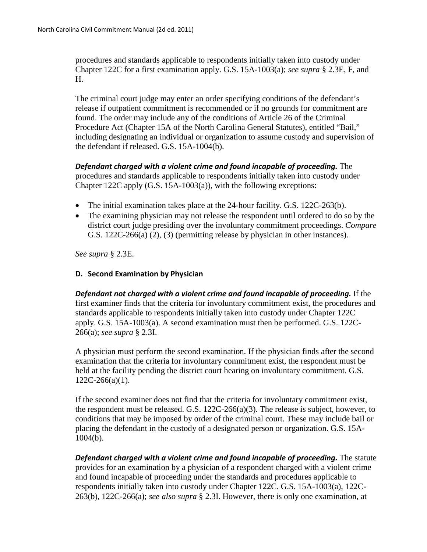procedures and standards applicable to respondents initially taken into custody under Chapter 122C for a first examination apply. G.S. 15A-1003(a); *see supra* § 2.3E, F, and H.

The criminal court judge may enter an order specifying conditions of the defendant's release if outpatient commitment is recommended or if no grounds for commitment are found. The order may include any of the conditions of Article 26 of the Criminal Procedure Act (Chapter 15A of the North Carolina General Statutes), entitled "Bail," including designating an individual or organization to assume custody and supervision of the defendant if released. G.S. 15A-1004(b).

*Defendant charged with a violent crime and found incapable of proceeding.* The procedures and standards applicable to respondents initially taken into custody under Chapter 122C apply (G.S. 15A-1003(a)), with the following exceptions:

- The initial examination takes place at the 24-hour facility. G.S. 122C-263(b).
- The examining physician may not release the respondent until ordered to do so by the district court judge presiding over the involuntary commitment proceedings. *Compare*  G.S. 122C-266(a) (2), (3) (permitting release by physician in other instances).

*See supra* § 2.3E.

### **D. Second Examination by Physician**

*Defendant not charged with a violent crime and found incapable of proceeding.* **If the** first examiner finds that the criteria for involuntary commitment exist, the procedures and standards applicable to respondents initially taken into custody under Chapter 122C apply. G.S. 15A-1003(a). A second examination must then be performed. G.S. 122C-266(a); *see supra* § 2.3I.

A physician must perform the second examination. If the physician finds after the second examination that the criteria for involuntary commitment exist, the respondent must be held at the facility pending the district court hearing on involuntary commitment. G.S.  $122C-266(a)(1)$ .

If the second examiner does not find that the criteria for involuntary commitment exist, the respondent must be released. G.S. 122C-266(a)(3). The release is subject, however, to conditions that may be imposed by order of the criminal court. These may include bail or placing the defendant in the custody of a designated person or organization. G.S. 15A-1004(b).

*Defendant charged with a violent crime and found incapable of proceeding. The statute* provides for an examination by a physician of a respondent charged with a violent crime and found incapable of proceeding under the standards and procedures applicable to respondents initially taken into custody under Chapter 122C. G.S. 15A-1003(a), 122C-263(b), 122C-266(a); *see also supra* § 2.3I. However, there is only one examination, at